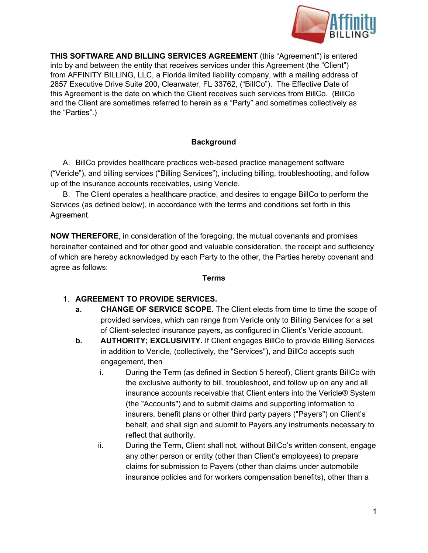

**THIS SOFTWARE AND BILLING SERVICES AGREEMENT**(this "Agreement") is entered into by and between the entity that receives services under this Agreement (the "Client") from AFFINITY BILLING, LLC, a Florida limited liability company, with a mailing address of 2857 Executive Drive Suite 200, Clearwater, FL 33762, ("BillCo"). The Effective Date of this Agreement is the date on which the Client receives such services from BillCo. (BillCo and the Client are sometimes referred to herein as a "Party" and sometimes collectively as the "Parties".)

### **Background**

A. BillCo provides healthcare practices web-based practice management software ("Vericle"), and billing services ("Billing Services"), including billing, troubleshooting, and follow up of the insurance accounts receivables, using Vericle.

B. The Client operates a healthcare practice, and desires to engage BillCo to perform the Services (as defined below), in accordance with the terms and conditions set forth in this Agreement.

**NOW THEREFORE**, in consideration of the foregoing, the mutual covenants and promises hereinafter contained and for other good and valuable consideration, the receipt and sufficiency of which are hereby acknowledged by each Party to the other, the Parties hereby covenant and agree as follows:

#### **Terms**

# 1. **AGREEMENT TO PROVIDE SERVICES.**

- **a. CHANGE OF SERVICE SCOPE.** The Client elects from time to time the scope of provided services, which can range from Vericle only to Billing Services for a set of Client-selected insurance payers, as configured in Client's Vericle account.
- **b. AUTHORITY; EXCLUSIVITY.** If Client engages BillCo to provide Billing Services in addition to Vericle, (collectively, the "Services"), and BillCo accepts such engagement, then
	- i. During the Term (as defined in Section 5 hereof), Client grants BillCo with the exclusive authority to bill, troubleshoot, and follow up on any and all insurance accounts receivable that Client enters into the Vericle® System (the "Accounts") and to submit claims and supporting information to insurers, benefit plans or other third party payers ("Payers") on Client's behalf, and shall sign and submit to Payers any instruments necessary to reflect that authority.
	- ii. During the Term, Client shall not, without BillCo's written consent, engage any other person or entity (other than Client's employees) to prepare claims for submission to Payers (other than claims under automobile insurance policies and for workers compensation benefits), other than a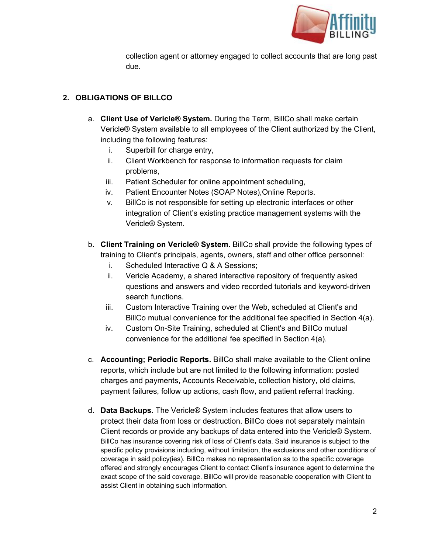

collection agent or attorney engaged to collect accounts that are long past due.

# **2. OBLIGATIONS OF BILLCO**

- a. **Client Use of Vericle® System.**During the Term, BillCo shall make certain Vericle® System available to all employees of the Client authorized by the Client, including the following features:
	- i. Superbill for charge entry,
	- ii. Client Workbench for response to information requests for claim problems,
	- iii. Patient Scheduler for online appointment scheduling,
	- iv. Patient Encounter Notes (SOAP Notes),Online Reports.
	- v. BillCo is not responsible for setting up electronic interfaces or other integration of Client's existing practice management systems with the Vericle® System.
- b. **Client Training on Vericle® System.** BillCo shall provide the following types of training to Client's principals, agents, owners, staff and other office personnel:
	- i. Scheduled Interactive Q & A Sessions;
	- ii. Vericle Academy, a shared interactive repository of frequently asked questions and answers and video recorded tutorials and keyword-driven search functions.
	- iii. Custom Interactive Training over the Web, scheduled at Client's and BillCo mutual convenience for the additional fee specified in Section 4(a).
	- iv. Custom On-Site Training, scheduled at Client's and BillCo mutual convenience for the additional fee specified in Section 4(a).
- c. **Accounting; Periodic Reports.**BillCo shall make available to the Client online reports, which include but are not limited to the following information: posted charges and payments, Accounts Receivable, collection history, old claims, payment failures, follow up actions, cash flow, and patient referral tracking.
- d. **Data Backups.**The Vericle® System includes features that allow users to protect their data from loss or destruction. BillCo does not separately maintain Client records or provide any backups of data entered into the Vericle® System. BillCo has insurance covering risk of loss of Client's data. Said insurance is subject to the specific policy provisions including, without limitation, the exclusions and other conditions of coverage in said policy(ies). BillCo makes no representation as to the specific coverage offered and strongly encourages Client to contact Client's insurance agent to determine the exact scope of the said coverage. BillCo will provide reasonable cooperation with Client to assist Client in obtaining such information.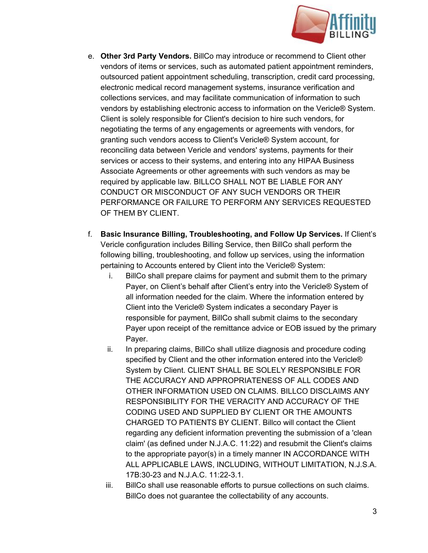

- e. **Other 3rd Party Vendors.**BillCo may introduce or recommend to Client other vendors of items or services, such as automated patient appointment reminders, outsourced patient appointment scheduling, transcription, credit card processing, electronic medical record management systems, insurance verification and collections services, and may facilitate communication of information to such vendors by establishing electronic access to information on the Vericle® System. Client is solely responsible for Client's decision to hire such vendors, for negotiating the terms of any engagements or agreements with vendors, for granting such vendors access to Client's Vericle® System account, for reconciling data between Vericle and vendors' systems, payments for their services or access to their systems, and entering into any HIPAA Business Associate Agreements or other agreements with such vendors as may be required by applicable law. BILLCO SHALL NOT BE LIABLE FOR ANY CONDUCT OR MISCONDUCT OF ANY SUCH VENDORS OR THEIR PERFORMANCE OR FAILURE TO PERFORM ANY SERVICES REQUESTED OF THEM BY CLIENT.
- f. **Basic Insurance Billing, Troubleshooting, and Follow Up Services.**If Client's Vericle configuration includes Billing Service, then BillCo shall perform the following billing, troubleshooting, and follow up services, using the information pertaining to Accounts entered by Client into the Vericle® System:
	- i. BillCo shall prepare claims for payment and submit them to the primary Payer, on Client's behalf after Client's entry into the Vericle® System of all information needed for the claim. Where the information entered by Client into the Vericle® System indicates a secondary Payer is responsible for payment, BillCo shall submit claims to the secondary Payer upon receipt of the remittance advice or EOB issued by the primary Payer.
	- ii. In preparing claims, BillCo shall utilize diagnosis and procedure coding specified by Client and the other information entered into the Vericle® System by Client. CLIENT SHALL BE SOLELY RESPONSIBLE FOR THE ACCURACY AND APPROPRIATENESS OF ALL CODES AND OTHER INFORMATION USED ON CLAIMS. BILLCO DISCLAIMS ANY RESPONSIBILITY FOR THE VERACITY AND ACCURACY OF THE CODING USED AND SUPPLIED BY CLIENT OR THE AMOUNTS CHARGED TO PATIENTS BY CLIENT. Billco will contact the Client regarding any deficient information preventing the submission of a 'clean claim' (as defined under N.J.A.C. 11:22) and resubmit the Client's claims to the appropriate payor(s) in a timely manner IN ACCORDANCE WITH ALL APPLICABLE LAWS, INCLUDING, WITHOUT LIMITATION, N.J.S.A. 17B:30-23 and N.J.A.C. 11:22-3.1.
	- iii. BillCo shall use reasonable efforts to pursue collections on such claims. BillCo does not guarantee the collectability of any accounts.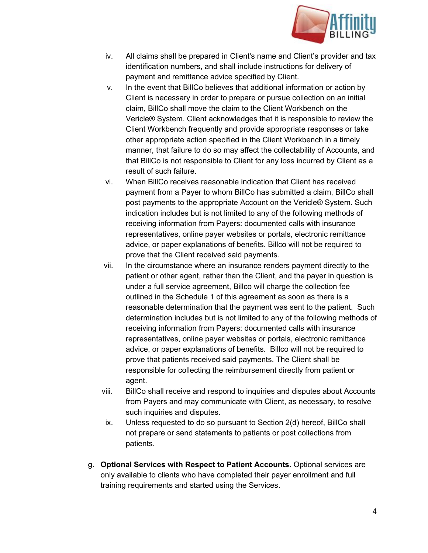

- iv. All claims shall be prepared in Client's name and Client's provider and tax identification numbers, and shall include instructions for delivery of payment and remittance advice specified by Client.
- v. In the event that BillCo believes that additional information or action by Client is necessary in order to prepare or pursue collection on an initial claim, BillCo shall move the claim to the Client Workbench on the Vericle® System. Client acknowledges that it is responsible to review the Client Workbench frequently and provide appropriate responses or take other appropriate action specified in the Client Workbench in a timely manner, that failure to do so may affect the collectability of Accounts, and that BillCo is not responsible to Client for any loss incurred by Client as a result of such failure.
- vi. When BillCo receives reasonable indication that Client has received payment from a Payer to whom BillCo has submitted a claim, BillCo shall post payments to the appropriate Account on the Vericle® System. Such indication includes but is not limited to any of the following methods of receiving information from Payers: documented calls with insurance representatives, online payer websites or portals, electronic remittance advice, or paper explanations of benefits. Billco will not be required to prove that the Client received said payments.
- vii. In the circumstance where an insurance renders payment directly to the patient or other agent, rather than the Client, and the payer in question is under a full service agreement, Billco will charge the collection fee outlined in the Schedule 1 of this agreement as soon as there is a reasonable determination that the payment was sent to the patient. Such determination includes but is not limited to any of the following methods of receiving information from Payers: documented calls with insurance representatives, online payer websites or portals, electronic remittance advice, or paper explanations of benefits. Billco will not be required to prove that patients received said payments. The Client shall be responsible for collecting the reimbursement directly from patient or agent.
- viii. BillCo shall receive and respond to inquiries and disputes about Accounts from Payers and may communicate with Client, as necessary, to resolve such inquiries and disputes.
- ix. Unless requested to do so pursuant to Section 2(d) hereof, BillCo shall not prepare or send statements to patients or post collections from patients.
- g. **Optional Services with Respect to Patient Accounts.** Optional services are only available to clients who have completed their payer enrollment and full training requirements and started using the Services.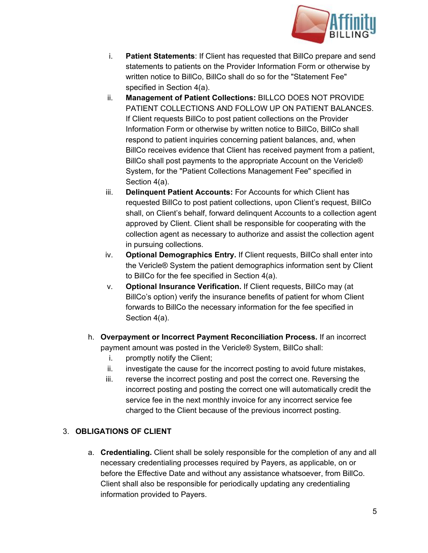

- i. **Patient Statements:** If Client has requested that BillCo prepare and send statements to patients on the Provider Information Form or otherwise by written notice to BillCo, BillCo shall do so for the "Statement Fee" specified in Section 4(a).
- ii. **Management of Patient Collections:**BILLCO DOES NOT PROVIDE PATIENT COLLECTIONS AND FOLLOW UP ON PATIENT BALANCES. If Client requests BillCo to post patient collections on the Provider Information Form or otherwise by written notice to BillCo, BillCo shall respond to patient inquiries concerning patient balances, and, when BillCo receives evidence that Client has received payment from a patient, BillCo shall post payments to the appropriate Account on the Vericle® System, for the "Patient Collections Management Fee" specified in Section 4(a).
- iii. **Delinquent Patient Accounts:**For Accounts for which Client has requested BillCo to post patient collections, upon Client's request, BillCo shall, on Client's behalf, forward delinquent Accounts to a collection agent approved by Client. Client shall be responsible for cooperating with the collection agent as necessary to authorize and assist the collection agent in pursuing collections.
- iv. **Optional Demographics Entry.**If Client requests, BillCo shall enter into the Vericle® System the patient demographics information sent by Client to BillCo for the fee specified in Section 4(a).
- v. **Optional Insurance Verification.**If Client requests, BillCo may (at BillCo's option) verify the insurance benefits of patient for whom Client forwards to BillCo the necessary information for the fee specified in Section 4(a).
- h. **Overpayment or Incorrect Payment Reconciliation Process.** If an incorrect payment amount was posted in the Vericle® System, BillCo shall:
	- i. promptly notify the Client;
	- ii. investigate the cause for the incorrect posting to avoid future mistakes,
	- iii. reverse the incorrect posting and post the correct one. Reversing the incorrect posting and posting the correct one will automatically credit the service fee in the next monthly invoice for any incorrect service fee charged to the Client because of the previous incorrect posting.

# 3. **OBLIGATIONS OF CLIENT**

a. **Credentialing.**Client shall be solely responsible for the completion of any and all necessary credentialing processes required by Payers, as applicable, on or before the Effective Date and without any assistance whatsoever, from BillCo. Client shall also be responsible for periodically updating any credentialing information provided to Payers.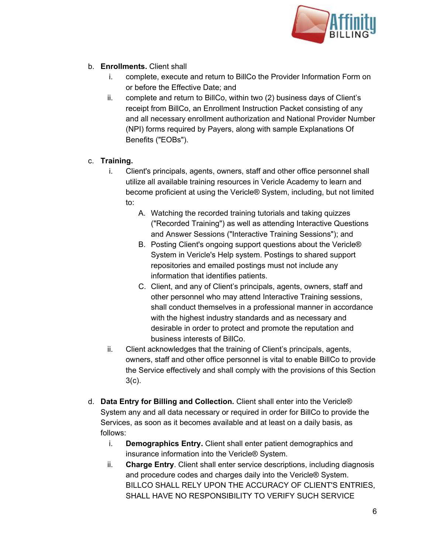

- b. **Enrollments.**Client shall
	- i. complete, execute and return to BillCo the Provider Information Form on or before the Effective Date; and
	- ii. complete and return to BillCo, within two (2) business days of Client's receipt from BillCo, an Enrollment Instruction Packet consisting of any and all necessary enrollment authorization and National Provider Number (NPI) forms required by Payers, along with sample Explanations Of Benefits ("EOBs").

# c. **Training.**

- i. Client's principals, agents, owners, staff and other office personnel shall utilize all available training resources in Vericle Academy to learn and become proficient at using the Vericle® System, including, but not limited to:
	- A. Watching the recorded training tutorials and taking quizzes ("Recorded Training") as well as attending Interactive Questions and Answer Sessions ("Interactive Training Sessions"); and
	- B. Posting Client's ongoing support questions about the Vericle® System in Vericle's Help system. Postings to shared support repositories and emailed postings must not include any information that identifies patients.
	- C. Client, and any of Client's principals, agents, owners, staff and other personnel who may attend Interactive Training sessions, shall conduct themselves in a professional manner in accordance with the highest industry standards and as necessary and desirable in order to protect and promote the reputation and business interests of BillCo.
- ii. Client acknowledges that the training of Client's principals, agents, owners, staff and other office personnel is vital to enable BillCo to provide the Service effectively and shall comply with the provisions of this Section 3(c).
- d. **Data Entry for Billing and Collection.**Client shall enter into the Vericle® System any and all data necessary or required in order for BillCo to provide the Services, as soon as it becomes available and at least on a daily basis, as follows:
	- i. **Demographics Entry.**Client shall enter patient demographics and insurance information into the Vericle® System.
	- ii. **Charge Entry**. Client shall enter service descriptions, including diagnosis and procedure codes and charges daily into the Vericle® System. BILLCO SHALL RELY UPON THE ACCURACY OF CLIENT'S ENTRIES, SHALL HAVE NO RESPONSIBILITY TO VERIFY SUCH SERVICE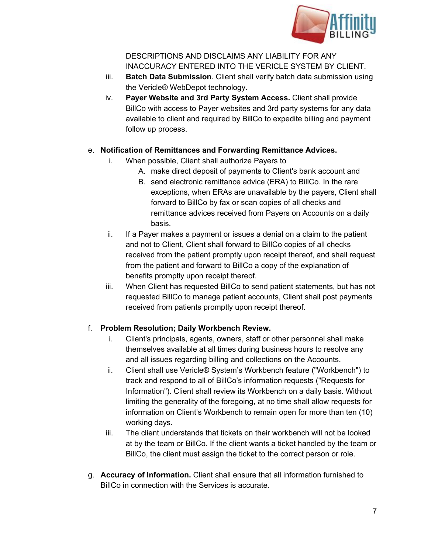

DESCRIPTIONS AND DISCLAIMS ANY LIABILITY FOR ANY INACCURACY ENTERED INTO THE VERICLE SYSTEM BY CLIENT.

- iii. **Batch Data Submission**. Client shall verify batch data submission using the Vericle® WebDepot technology.
- iv. **Payer Website and 3rd Party System Access.**Client shall provide BillCo with access to Payer websites and 3rd party systems for any data available to client and required by BillCo to expedite billing and payment follow up process.

# e. **Notification of Remittances and Forwarding Remittance Advices.**

- i. When possible, Client shall authorize Payers to
	- A. make direct deposit of payments to Client's bank account and
	- B. send electronic remittance advice (ERA) to BillCo. In the rare exceptions, when ERAs are unavailable by the payers, Client shall forward to BillCo by fax or scan copies of all checks and remittance advices received from Payers on Accounts on a daily basis.
- ii. If a Payer makes a payment or issues a denial on a claim to the patient and not to Client, Client shall forward to BillCo copies of all checks received from the patient promptly upon receipt thereof, and shall request from the patient and forward to BillCo a copy of the explanation of benefits promptly upon receipt thereof.
- iii. When Client has requested BillCo to send patient statements, but has not requested BillCo to manage patient accounts, Client shall post payments received from patients promptly upon receipt thereof.

# f. **Problem Resolution; Daily Workbench Review.**

- i. Client's principals, agents, owners, staff or other personnel shall make themselves available at all times during business hours to resolve any and all issues regarding billing and collections on the Accounts.
- ii. Client shall use Vericle® System's Workbench feature ("Workbench") to track and respond to all of BillCo's information requests ("Requests for Information"). Client shall review its Workbench on a daily basis. Without limiting the generality of the foregoing, at no time shall allow requests for information on Client's Workbench to remain open for more than ten (10) working days.
- iii. The client understands that tickets on their workbench will not be looked at by the team or BillCo. If the client wants a ticket handled by the team or BillCo, the client must assign the ticket to the correct person or role.
- g. **Accuracy of Information.**Client shall ensure that all information furnished to BillCo in connection with the Services is accurate.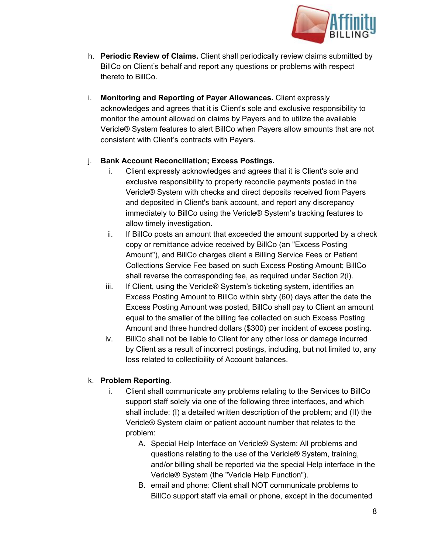

- h. **Periodic Review of Claims.**Client shall periodically review claims submitted by BillCo on Client's behalf and report any questions or problems with respect thereto to BillCo.
- i. **Monitoring and Reporting of Payer Allowances.**Client expressly acknowledges and agrees that it is Client's sole and exclusive responsibility to monitor the amount allowed on claims by Payers and to utilize the available Vericle® System features to alert BillCo when Payers allow amounts that are not consistent with Client's contracts with Payers.

# j. **Bank Account Reconciliation; Excess Postings.**

- i. Client expressly acknowledges and agrees that it is Client's sole and exclusive responsibility to properly reconcile payments posted in the Vericle® System with checks and direct deposits received from Payers and deposited in Client's bank account, and report any discrepancy immediately to BillCo using the Vericle® System's tracking features to allow timely investigation.
- ii. If BillCo posts an amount that exceeded the amount supported by a check copy or remittance advice received by BillCo (an "Excess Posting Amount"), and BillCo charges client a Billing Service Fees or Patient Collections Service Fee based on such Excess Posting Amount; BillCo shall reverse the corresponding fee, as required under Section 2(i).
- iii. If Client, using the Vericle<sup>®</sup> System's ticketing system, identifies an Excess Posting Amount to BillCo within sixty (60) days after the date the Excess Posting Amount was posted, BillCo shall pay to Client an amount equal to the smaller of the billing fee collected on such Excess Posting Amount and three hundred dollars (\$300) per incident of excess posting.
- iv. BillCo shall not be liable to Client for any other loss or damage incurred by Client as a result of incorrect postings, including, but not limited to, any loss related to collectibility of Account balances.

# k. **Problem Reporting**.

- i. Client shall communicate any problems relating to the Services to BillCo support staff solely via one of the following three interfaces, and which shall include: (I) a detailed written description of the problem; and (II) the Vericle® System claim or patient account number that relates to the problem:
	- A. Special Help Interface on Vericle® System: All problems and questions relating to the use of the Vericle® System, training, and/or billing shall be reported via the special Help interface in the Vericle® System (the "Vericle Help Function").
	- B. email and phone: Client shall NOT communicate problems to BillCo support staff via email or phone, except in the documented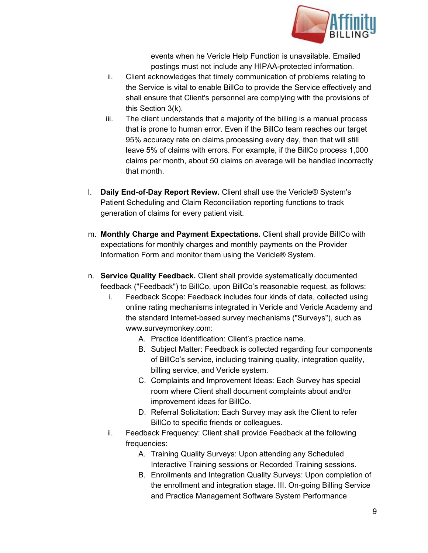

events when he Vericle Help Function is unavailable. Emailed postings must not include any HIPAA-protected information.

- ii. Client acknowledges that timely communication of problems relating to the Service is vital to enable BillCo to provide the Service effectively and shall ensure that Client's personnel are complying with the provisions of this Section 3(k).
- iii. The client understands that a majority of the billing is a manual process that is prone to human error. Even if the BillCo team reaches our target 95% accuracy rate on claims processing every day, then that will still leave 5% of claims with errors. For example, if the BillCo process 1,000 claims per month, about 50 claims on average will be handled incorrectly that month.
- 1. **Daily End-of-Day Report Review.** Client shall use the Vericle® System's Patient Scheduling and Claim Reconciliation reporting functions to track generation of claims for every patient visit.
- m. **Monthly Charge and Payment Expectations.**Client shall provide BillCo with expectations for monthly charges and monthly payments on the Provider Information Form and monitor them using the Vericle® System.
- n. **Service Quality Feedback.** Client shall provide systematically documented feedback ("Feedback") to BillCo, upon BillCo's reasonable request, as follows:
	- i. Feedback Scope: Feedback includes four kinds of data, collected using online rating mechanisms integrated in Vericle and Vericle Academy and the standard Internet-based survey mechanisms ("Surveys"), such as www.surveymonkey.com:
		- A. Practice identification: Client's practice name.
		- B. Subject Matter: Feedback is collected regarding four components of BillCo's service, including training quality, integration quality, billing service, and Vericle system.
		- C. Complaints and Improvement Ideas: Each Survey has special room where Client shall document complaints about and/or improvement ideas for BillCo.
		- D. Referral Solicitation: Each Survey may ask the Client to refer BillCo to specific friends or colleagues.
	- ii. Feedback Frequency: Client shall provide Feedback at the following frequencies:
		- A. Training Quality Surveys: Upon attending any Scheduled Interactive Training sessions or Recorded Training sessions.
		- B. Enrollments and Integration Quality Surveys: Upon completion of the enrollment and integration stage. III. On-going Billing Service and Practice Management Software System Performance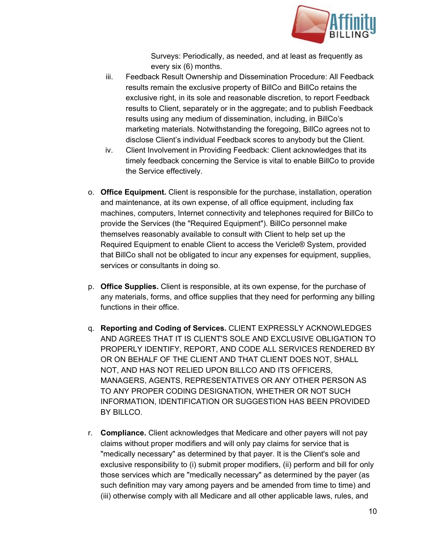

Surveys: Periodically, as needed, and at least as frequently as every six (6) months.

- iii. Feedback Result Ownership and Dissemination Procedure: All Feedback results remain the exclusive property of BillCo and BillCo retains the exclusive right, in its sole and reasonable discretion, to report Feedback results to Client, separately or in the aggregate; and to publish Feedback results using any medium of dissemination, including, in BillCo's marketing materials. Notwithstanding the foregoing, BillCo agrees not to disclose Client's individual Feedback scores to anybody but the Client.
- iv. Client Involvement in Providing Feedback: Client acknowledges that its timely feedback concerning the Service is vital to enable BillCo to provide the Service effectively.
- o. **Office Equipment.** Client is responsible for the purchase, installation, operation and maintenance, at its own expense, of all office equipment, including fax machines, computers, Internet connectivity and telephones required for BillCo to provide the Services (the "Required Equipment"). BillCo personnel make themselves reasonably available to consult with Client to help set up the Required Equipment to enable Client to access the Vericle® System, provided that BillCo shall not be obligated to incur any expenses for equipment, supplies, services or consultants in doing so.
- p. **Office Supplies.** Client is responsible, at its own expense, for the purchase of any materials, forms, and office supplies that they need for performing any billing functions in their office.
- q. **Reporting and Coding of Services.** CLIENT EXPRESSLY ACKNOWLEDGES AND AGREES THAT IT IS CLIENT'S SOLE AND EXCLUSIVE OBLIGATION TO PROPERLY IDENTIFY, REPORT, AND CODE ALL SERVICES RENDERED BY OR ON BEHALF OF THE CLIENT AND THAT CLIENT DOES NOT, SHALL NOT, AND HAS NOT RELIED UPON BILLCO AND ITS OFFICERS, MANAGERS, AGENTS, REPRESENTATIVES OR ANY OTHER PERSON AS TO ANY PROPER CODING DESIGNATION, WHETHER OR NOT SUCH INFORMATION, IDENTIFICATION OR SUGGESTION HAS BEEN PROVIDED BY BILLCO.
- r. **Compliance.** Client acknowledges that Medicare and other payers will not pay claims without proper modifiers and will only pay claims for service that is "medically necessary" as determined by that payer. It is the Client's sole and exclusive responsibility to (i) submit proper modifiers, (ii) perform and bill for only those services which are "medically necessary" as determined by the payer (as such definition may vary among payers and be amended from time to time) and (iii) otherwise comply with all Medicare and all other applicable laws, rules, and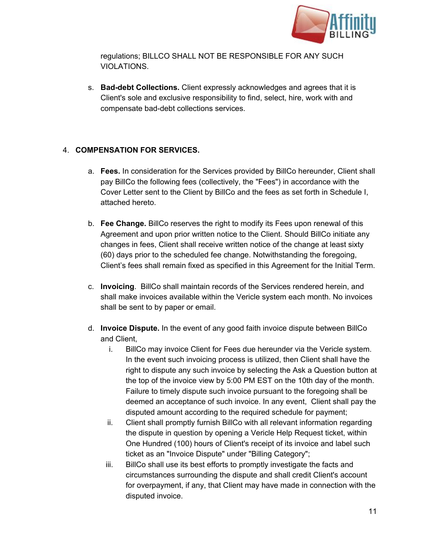

regulations; BILLCO SHALL NOT BE RESPONSIBLE FOR ANY SUCH VIOLATIONS.

s. **Bad-debt Collections.** Client expressly acknowledges and agrees that it is Client's sole and exclusive responsibility to find, select, hire, work with and compensate bad-debt collections services.

# 4. **COMPENSATION FOR SERVICES.**

- a. **Fees.**In consideration for the Services provided by BillCo hereunder, Client shall pay BillCo the following fees (collectively, the "Fees") in accordance with the Cover Letter sent to the Client by BillCo and the fees as set forth in Schedule I, attached hereto.
- b. **Fee Change.** BillCo reserves the right to modify its Fees upon renewal of this Agreement and upon prior written notice to the Client. Should BillCo initiate any changes in fees, Client shall receive written notice of the change at least sixty (60) days prior to the scheduled fee change. Notwithstanding the foregoing, Client's fees shall remain fixed as specified in this Agreement for the Initial Term.
- c. **Invoicing**. BillCo shall maintain records of the Services rendered herein, and shall make invoices available within the Vericle system each month. No invoices shall be sent to by paper or email.
- d. **Invoice Dispute.** In the event of any good faith invoice dispute between BillCo and Client,
	- i. BillCo may invoice Client for Fees due hereunder via the Vericle system. In the event such invoicing process is utilized, then Client shall have the right to dispute any such invoice by selecting the Ask a Question button at the top of the invoice view by 5:00 PM EST on the 10th day of the month. Failure to timely dispute such invoice pursuant to the foregoing shall be deemed an acceptance of such invoice. In any event, Client shall pay the disputed amount according to the required schedule for payment;
	- ii. Client shall promptly furnish BillCo with all relevant information regarding the dispute in question by opening a Vericle Help Request ticket, within One Hundred (100) hours of Client's receipt of its invoice and label such ticket as an "Invoice Dispute" under "Billing Category";
	- iii. BillCo shall use its best efforts to promptly investigate the facts and circumstances surrounding the dispute and shall credit Client's account for overpayment, if any, that Client may have made in connection with the disputed invoice.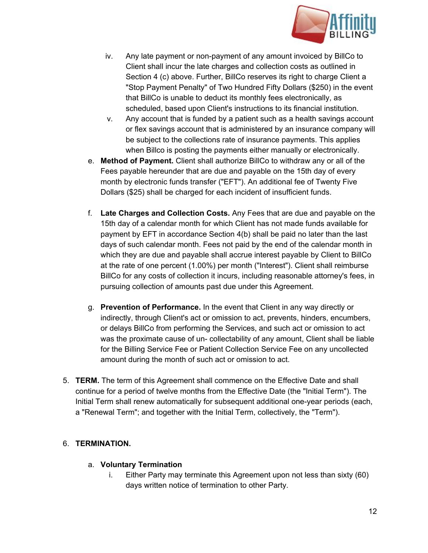

- iv. Any late payment or non-payment of any amount invoiced by BillCo to Client shall incur the late charges and collection costs as outlined in Section 4 (c) above. Further, BillCo reserves its right to charge Client a "Stop Payment Penalty" of Two Hundred Fifty Dollars (\$250) in the event that BillCo is unable to deduct its monthly fees electronically, as scheduled, based upon Client's instructions to its financial institution.
- v. Any account that is funded by a patient such as a health savings account or flex savings account that is administered by an insurance company will be subject to the collections rate of insurance payments. This applies when Billco is posting the payments either manually or electronically.
- e. **Method of Payment.**Client shall authorize BillCo to withdraw any or all of the Fees payable hereunder that are due and payable on the 15th day of every month by electronic funds transfer ("EFT"). An additional fee of Twenty Five Dollars (\$25) shall be charged for each incident of insufficient funds.
- f. **Late Charges and Collection Costs.**Any Fees that are due and payable on the 15th day of a calendar month for which Client has not made funds available for payment by EFT in accordance Section 4(b) shall be paid no later than the last days of such calendar month. Fees not paid by the end of the calendar month in which they are due and payable shall accrue interest payable by Client to BillCo at the rate of one percent (1.00%) per month ("Interest"). Client shall reimburse BillCo for any costs of collection it incurs, including reasonable attorney's fees, in pursuing collection of amounts past due under this Agreement.
- g. **Prevention of Performance.**In the event that Client in any way directly or indirectly, through Client's act or omission to act, prevents, hinders, encumbers, or delays BillCo from performing the Services, and such act or omission to act was the proximate cause of un- collectability of any amount, Client shall be liable for the Billing Service Fee or Patient Collection Service Fee on any uncollected amount during the month of such act or omission to act.
- 5. **TERM.** The term of this Agreement shall commence on the Effective Date and shall continue for a period of twelve months from the Effective Date (the "Initial Term"). The Initial Term shall renew automatically for subsequent additional one-year periods (each, a "Renewal Term"; and together with the Initial Term, collectively, the "Term").

# 6. **TERMINATION.**

#### a. **Voluntary Termination**

i. Either Party may terminate this Agreement upon not less than sixty (60) days written notice of termination to other Party.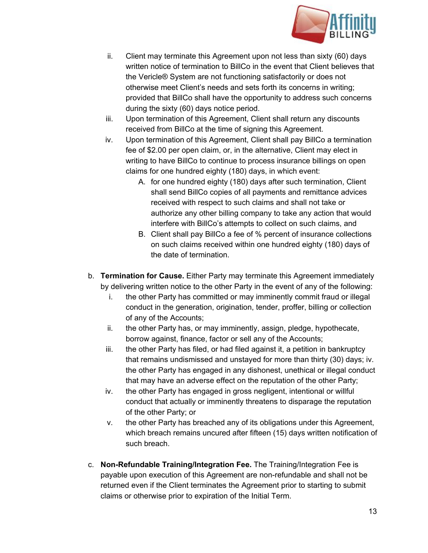

- ii. Client may terminate this Agreement upon not less than sixty (60) days written notice of termination to BillCo in the event that Client believes that the Vericle® System are not functioning satisfactorily or does not otherwise meet Client's needs and sets forth its concerns in writing; provided that BillCo shall have the opportunity to address such concerns during the sixty (60) days notice period.
- iii. Upon termination of this Agreement, Client shall return any discounts received from BillCo at the time of signing this Agreement.
- iv. Upon termination of this Agreement, Client shall pay BillCo a termination fee of \$2.00 per open claim, or, in the alternative, Client may elect in writing to have BillCo to continue to process insurance billings on open claims for one hundred eighty (180) days, in which event:
	- A. for one hundred eighty (180) days after such termination, Client shall send BillCo copies of all payments and remittance advices received with respect to such claims and shall not take or authorize any other billing company to take any action that would interfere with BillCo's attempts to collect on such claims, and
	- B. Client shall pay BillCo a fee of % percent of insurance collections on such claims received within one hundred eighty (180) days of the date of termination.
- b. **Termination for Cause.**Either Party may terminate this Agreement immediately by delivering written notice to the other Party in the event of any of the following:
	- i. the other Party has committed or may imminently commit fraud or illegal conduct in the generation, origination, tender, proffer, billing or collection of any of the Accounts;
	- ii. the other Party has, or may imminently, assign, pledge, hypothecate, borrow against, finance, factor or sell any of the Accounts;
	- iii. the other Party has filed, or had filed against it, a petition in bankruptcy that remains undismissed and unstayed for more than thirty (30) days; iv. the other Party has engaged in any dishonest, unethical or illegal conduct that may have an adverse effect on the reputation of the other Party;
	- iv. the other Party has engaged in gross negligent, intentional or willful conduct that actually or imminently threatens to disparage the reputation of the other Party; or
	- v. the other Party has breached any of its obligations under this Agreement, which breach remains uncured after fifteen (15) days written notification of such breach.
- c. **NonRefundable Training/Integration Fee.**The Training/Integration Fee is payable upon execution of this Agreement are non-refundable and shall not be returned even if the Client terminates the Agreement prior to starting to submit claims or otherwise prior to expiration of the Initial Term.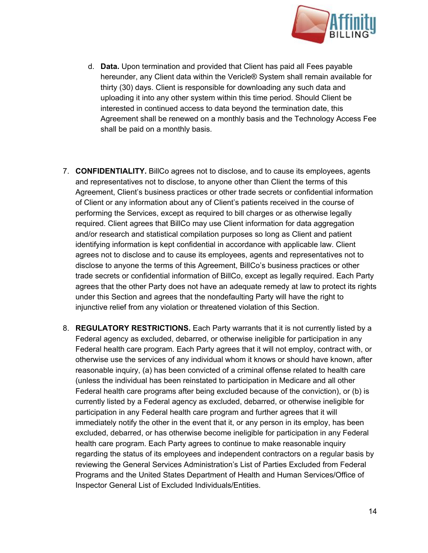

- d. **Data.**Upon termination and provided that Client has paid all Fees payable hereunder, any Client data within the Vericle® System shall remain available for thirty (30) days. Client is responsible for downloading any such data and uploading it into any other system within this time period. Should Client be interested in continued access to data beyond the termination date, this Agreement shall be renewed on a monthly basis and the Technology Access Fee shall be paid on a monthly basis.
- 7. **CONFIDENTIALITY.**BillCo agrees not to disclose, and to cause its employees, agents and representatives not to disclose, to anyone other than Client the terms of this Agreement, Client's business practices or other trade secrets or confidential information of Client or any information about any of Client's patients received in the course of performing the Services, except as required to bill charges or as otherwise legally required. Client agrees that BillCo may use Client information for data aggregation and/or research and statistical compilation purposes so long as Client and patient identifying information is kept confidential in accordance with applicable law. Client agrees not to disclose and to cause its employees, agents and representatives not to disclose to anyone the terms of this Agreement, BillCo's business practices or other trade secrets or confidential information of BillCo, except as legally required. Each Party agrees that the other Party does not have an adequate remedy at law to protect its rights under this Section and agrees that the nondefaulting Party will have the right to injunctive relief from any violation or threatened violation of this Section.
- 8. **REGULATORY RESTRICTIONS.**Each Party warrants that it is not currently listed by a Federal agency as excluded, debarred, or otherwise ineligible for participation in any Federal health care program. Each Party agrees that it will not employ, contract with, or otherwise use the services of any individual whom it knows or should have known, after reasonable inquiry, (a) has been convicted of a criminal offense related to health care (unless the individual has been reinstated to participation in Medicare and all other Federal health care programs after being excluded because of the conviction), or (b) is currently listed by a Federal agency as excluded, debarred, or otherwise ineligible for participation in any Federal health care program and further agrees that it will immediately notify the other in the event that it, or any person in its employ, has been excluded, debarred, or has otherwise become ineligible for participation in any Federal health care program. Each Party agrees to continue to make reasonable inquiry regarding the status of its employees and independent contractors on a regular basis by reviewing the General Services Administration's List of Parties Excluded from Federal Programs and the United States Department of Health and Human Services/Office of Inspector General List of Excluded Individuals/Entities.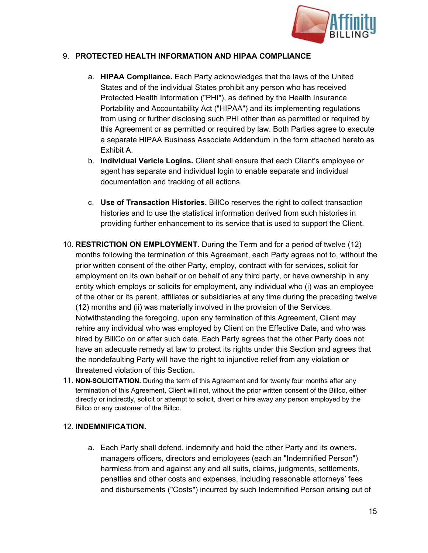

### 9. **PROTECTED HEALTH INFORMATION AND HIPAA COMPLIANCE**

- a. **HIPAA Compliance.**Each Party acknowledges that the laws of the United States and of the individual States prohibit any person who has received Protected Health Information ("PHI"), as defined by the Health Insurance Portability and Accountability Act ("HIPAA") and its implementing regulations from using or further disclosing such PHI other than as permitted or required by this Agreement or as permitted or required by law. Both Parties agree to execute a separate HIPAA Business Associate Addendum in the form attached hereto as Exhibit A.
- b. **Individual Vericle Logins.**Client shall ensure that each Client's employee or agent has separate and individual login to enable separate and individual documentation and tracking of all actions.
- c. **Use of Transaction Histories.**BillCo reserves the right to collect transaction histories and to use the statistical information derived from such histories in providing further enhancement to its service that is used to support the Client.
- 10. **RESTRICTION ON EMPLOYMENT.**During the Term and for a period of twelve (12) months following the termination of this Agreement, each Party agrees not to, without the prior written consent of the other Party, employ, contract with for services, solicit for employment on its own behalf or on behalf of any third party, or have ownership in any entity which employs or solicits for employment, any individual who (i) was an employee of the other or its parent, affiliates or subsidiaries at any time during the preceding twelve (12) months and (ii) was materially involved in the provision of the Services. Notwithstanding the foregoing, upon any termination of this Agreement, Client may rehire any individual who was employed by Client on the Effective Date, and who was hired by BillCo on or after such date. Each Party agrees that the other Party does not have an adequate remedy at law to protect its rights under this Section and agrees that the nondefaulting Party will have the right to injunctive relief from any violation or threatened violation of this Section.
- 11. **NON-SOLICITATION.** During the term of this Agreement and for twenty four months after any termination of this Agreement, Client will not, without the prior written consent of the Billco, either directly or indirectly, solicit or attempt to solicit, divert or hire away any person employed by the Billco or any customer of the Billco.

#### 12. **INDEMNIFICATION.**

a. Each Party shall defend, indemnify and hold the other Party and its owners, managers officers, directors and employees (each an "Indemnified Person") harmless from and against any and all suits, claims, judgments, settlements, penalties and other costs and expenses, including reasonable attorneys' fees and disbursements ("Costs") incurred by such Indemnified Person arising out of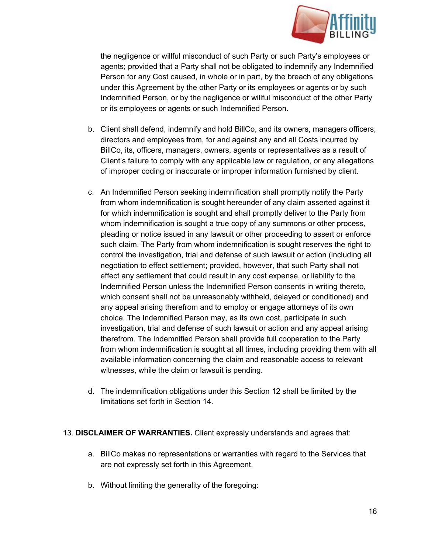

the negligence or willful misconduct of such Party or such Party's employees or agents; provided that a Party shall not be obligated to indemnify any Indemnified Person for any Cost caused, in whole or in part, by the breach of any obligations under this Agreement by the other Party or its employees or agents or by such Indemnified Person, or by the negligence or willful misconduct of the other Party or its employees or agents or such Indemnified Person.

- b. Client shall defend, indemnify and hold BillCo, and its owners, managers officers, directors and employees from, for and against any and all Costs incurred by BillCo, its, officers, managers, owners, agents or representatives as a result of Client's failure to comply with any applicable law or regulation, or any allegations of improper coding or inaccurate or improper information furnished by client.
- c. An Indemnified Person seeking indemnification shall promptly notify the Party from whom indemnification is sought hereunder of any claim asserted against it for which indemnification is sought and shall promptly deliver to the Party from whom indemnification is sought a true copy of any summons or other process, pleading or notice issued in any lawsuit or other proceeding to assert or enforce such claim. The Party from whom indemnification is sought reserves the right to control the investigation, trial and defense of such lawsuit or action (including all negotiation to effect settlement; provided, however, that such Party shall not effect any settlement that could result in any cost expense, or liability to the Indemnified Person unless the Indemnified Person consents in writing thereto, which consent shall not be unreasonably withheld, delayed or conditioned) and any appeal arising therefrom and to employ or engage attorneys of its own choice. The Indemnified Person may, as its own cost, participate in such investigation, trial and defense of such lawsuit or action and any appeal arising therefrom. The Indemnified Person shall provide full cooperation to the Party from whom indemnification is sought at all times, including providing them with all available information concerning the claim and reasonable access to relevant witnesses, while the claim or lawsuit is pending.
- d. The indemnification obligations under this Section 12 shall be limited by the limitations set forth in Section 14.

#### 13. **DISCLAIMER OF WARRANTIES.** Client expressly understands and agrees that:

- a. BillCo makes no representations or warranties with regard to the Services that are not expressly set forth in this Agreement.
- b. Without limiting the generality of the foregoing: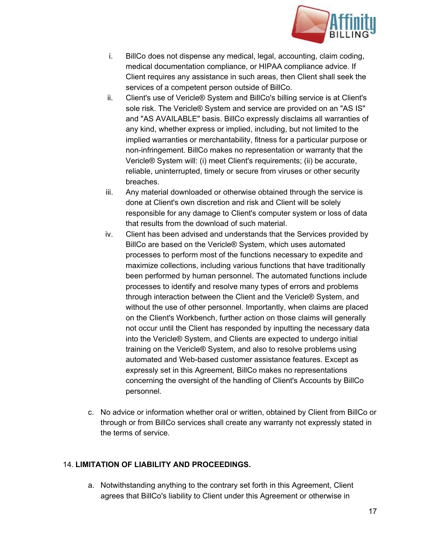

- i. BillCo does not dispense any medical, legal, accounting, claim coding, medical documentation compliance, or HIPAA compliance advice. If Client requires any assistance in such areas, then Client shall seek the services of a competent person outside of BillCo.
- ii. Client's use of Vericle® System and BillCo's billing service is at Client's sole risk. The Vericle® System and service are provided on an "AS IS" and "AS AVAILABLE" basis. BillCo expressly disclaims all warranties of any kind, whether express or implied, including, but not limited to the implied warranties or merchantability, fitness for a particular purpose or non-infringement. BillCo makes no representation or warranty that the Vericle® System will: (i) meet Client's requirements; (ii) be accurate, reliable, uninterrupted, timely or secure from viruses or other security breaches.
- iii. Any material downloaded or otherwise obtained through the service is done at Client's own discretion and risk and Client will be solely responsible for any damage to Client's computer system or loss of data that results from the download of such material.
- iv. Client has been advised and understands that the Services provided by BillCo are based on the Vericle® System, which uses automated processes to perform most of the functions necessary to expedite and maximize collections, including various functions that have traditionally been performed by human personnel. The automated functions include processes to identify and resolve many types of errors and problems through interaction between the Client and the Vericle® System, and without the use of other personnel. Importantly, when claims are placed on the Client's Workbench, further action on those claims will generally not occur until the Client has responded by inputting the necessary data into the Vericle® System, and Clients are expected to undergo initial training on the Vericle® System, and also to resolve problems using automated and Web-based customer assistance features. Except as expressly set in this Agreement, BillCo makes no representations concerning the oversight of the handling of Client's Accounts by BillCo personnel.
- c. No advice or information whether oral or written, obtained by Client from BillCo or through or from BillCo services shall create any warranty not expressly stated in the terms of service.

#### 14. **LIMITATION OF LIABILITY AND PROCEEDINGS.**

a. Notwithstanding anything to the contrary set forth in this Agreement, Client agrees that BillCo's liability to Client under this Agreement or otherwise in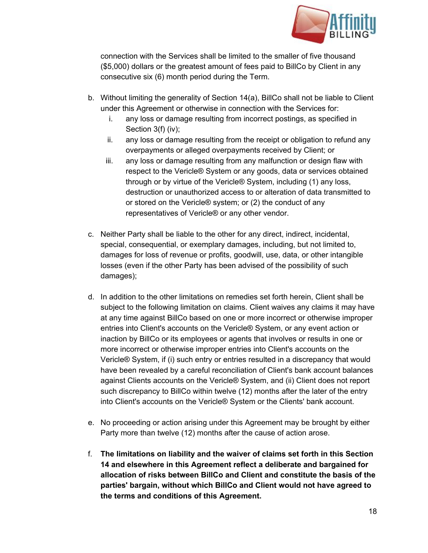

connection with the Services shall be limited to the smaller of five thousand (\$5,000) dollars or the greatest amount of fees paid to BillCo by Client in any consecutive six (6) month period during the Term.

- b. Without limiting the generality of Section 14(a), BillCo shall not be liable to Client under this Agreement or otherwise in connection with the Services for:
	- i. any loss or damage resulting from incorrect postings, as specified in Section 3(f) (iv);
	- ii. any loss or damage resulting from the receipt or obligation to refund any overpayments or alleged overpayments received by Client; or
	- iii. any loss or damage resulting from any malfunction or design flaw with respect to the Vericle® System or any goods, data or services obtained through or by virtue of the Vericle® System, including (1) any loss, destruction or unauthorized access to or alteration of data transmitted to or stored on the Vericle® system; or (2) the conduct of any representatives of Vericle® or any other vendor.
- c. Neither Party shall be liable to the other for any direct, indirect, incidental, special, consequential, or exemplary damages, including, but not limited to, damages for loss of revenue or profits, goodwill, use, data, or other intangible losses (even if the other Party has been advised of the possibility of such damages);
- d. In addition to the other limitations on remedies set forth herein, Client shall be subject to the following limitation on claims. Client waives any claims it may have at any time against BillCo based on one or more incorrect or otherwise improper entries into Client's accounts on the Vericle® System, or any event action or inaction by BillCo or its employees or agents that involves or results in one or more incorrect or otherwise improper entries into Client's accounts on the Vericle® System, if (i) such entry or entries resulted in a discrepancy that would have been revealed by a careful reconciliation of Client's bank account balances against Clients accounts on the Vericle® System, and (ii) Client does not report such discrepancy to BillCo within twelve (12) months after the later of the entry into Client's accounts on the Vericle® System or the Clients' bank account.
- e. No proceeding or action arising under this Agreement may be brought by either Party more than twelve (12) months after the cause of action arose.
- f. **The limitations on liability and the waiver of claims set forth in this Section 14 and elsewhere in this Agreement reflect a deliberate and bargained for allocation of risks between BillCo and Client and constitute the basis of the parties' bargain, without which BillCo and Client would not have agreed to the terms and conditions of this Agreement.**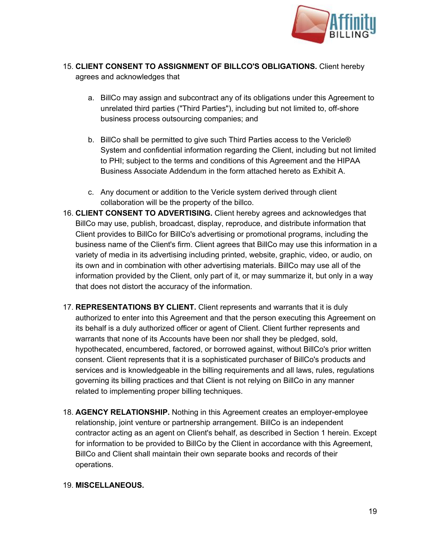

- 15. **CLIENT CONSENT TO ASSIGNMENT OF BILLCO'S OBLIGATIONS.**Client hereby agrees and acknowledges that
	- a. BillCo may assign and subcontract any of its obligations under this Agreement to unrelated third parties ("Third Parties"), including but not limited to, off-shore business process outsourcing companies; and
	- b. BillCo shall be permitted to give such Third Parties access to the Vericle® System and confidential information regarding the Client, including but not limited to PHI; subject to the terms and conditions of this Agreement and the HIPAA Business Associate Addendum in the form attached hereto as Exhibit A.
	- c. Any document or addition to the Vericle system derived through client collaboration will be the property of the billco.
- 16. **CLIENT CONSENT TO ADVERTISING.**Client hereby agrees and acknowledges that BillCo may use, publish, broadcast, display, reproduce, and distribute information that Client provides to BillCo for BillCo's advertising or promotional programs, including the business name of the Client's firm. Client agrees that BillCo may use this information in a variety of media in its advertising including printed, website, graphic, video, or audio, on its own and in combination with other advertising materials. BillCo may use all of the information provided by the Client, only part of it, or may summarize it, but only in a way that does not distort the accuracy of the information.
- 17. **REPRESENTATIONS BY CLIENT.** Client represents and warrants that it is duly authorized to enter into this Agreement and that the person executing this Agreement on its behalf is a duly authorized officer or agent of Client. Client further represents and warrants that none of its Accounts have been nor shall they be pledged, sold, hypothecated, encumbered, factored, or borrowed against, without BillCo's prior written consent. Client represents that it is a sophisticated purchaser of BillCo's products and services and is knowledgeable in the billing requirements and all laws, rules, regulations governing its billing practices and that Client is not relying on BillCo in any manner related to implementing proper billing techniques.
- 18. **AGENCY RELATIONSHIP.** Nothing in this Agreement creates an employer-employee relationship, joint venture or partnership arrangement. BillCo is an independent contractor acting as an agent on Client's behalf, as described in Section 1 herein. Except for information to be provided to BillCo by the Client in accordance with this Agreement, BillCo and Client shall maintain their own separate books and records of their operations.

#### 19. **MISCELLANEOUS.**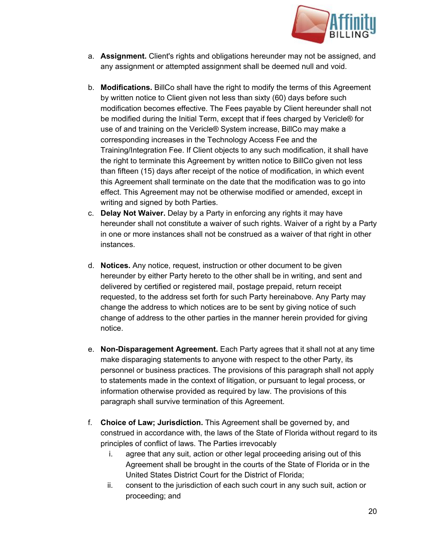

- a. **Assignment.** Client's rights and obligations hereunder may not be assigned, and any assignment or attempted assignment shall be deemed null and void.
- b. **Modifications.**BillCo shall have the right to modify the terms of this Agreement by written notice to Client given not less than sixty (60) days before such modification becomes effective. The Fees payable by Client hereunder shall not be modified during the Initial Term, except that if fees charged by Vericle® for use of and training on the Vericle® System increase, BillCo may make a corresponding increases in the Technology Access Fee and the Training/Integration Fee. If Client objects to any such modification, it shall have the right to terminate this Agreement by written notice to BillCo given not less than fifteen (15) days after receipt of the notice of modification, in which event this Agreement shall terminate on the date that the modification was to go into effect. This Agreement may not be otherwise modified or amended, except in writing and signed by both Parties.
- c. **Delay Not Waiver.** Delay by a Party in enforcing any rights it may have hereunder shall not constitute a waiver of such rights. Waiver of a right by a Party in one or more instances shall not be construed as a waiver of that right in other instances.
- d. **Notices.**Any notice, request, instruction or other document to be given hereunder by either Party hereto to the other shall be in writing, and sent and delivered by certified or registered mail, postage prepaid, return receipt requested, to the address set forth for such Party hereinabove. Any Party may change the address to which notices are to be sent by giving notice of such change of address to the other parties in the manner herein provided for giving notice.
- e. **Non-Disparagement Agreement.** Each Party agrees that it shall not at any time make disparaging statements to anyone with respect to the other Party, its personnel or business practices. The provisions of this paragraph shall not apply to statements made in the context of litigation, or pursuant to legal process, or information otherwise provided as required by law. The provisions of this paragraph shall survive termination of this Agreement.
- f. **Choice of Law; Jurisdiction.** This Agreement shall be governed by, and construed in accordance with, the laws of the State of Florida without regard to its principles of conflict of laws. The Parties irrevocably
	- i. agree that any suit, action or other legal proceeding arising out of this Agreement shall be brought in the courts of the State of Florida or in the United States District Court for the District of Florida;
	- ii. consent to the jurisdiction of each such court in any such suit, action or proceeding; and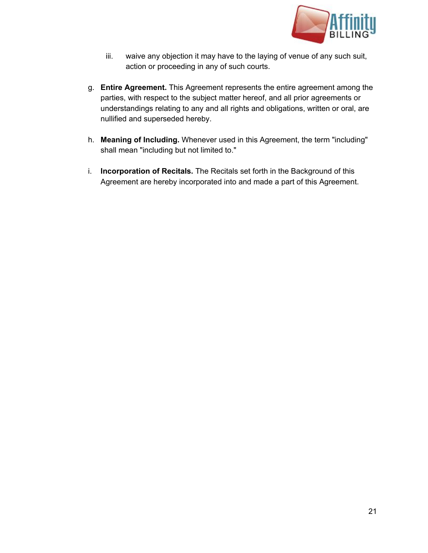

- iii. waive any objection it may have to the laying of venue of any such suit, action or proceeding in any of such courts.
- g. **Entire Agreement.**This Agreement represents the entire agreement among the parties, with respect to the subject matter hereof, and all prior agreements or understandings relating to any and all rights and obligations, written or oral, are nullified and superseded hereby.
- h. **Meaning of Including.** Whenever used in this Agreement, the term "including" shall mean "including but not limited to."
- i. **Incorporation of Recitals.**The Recitals set forth in the Background of this Agreement are hereby incorporated into and made a part of this Agreement.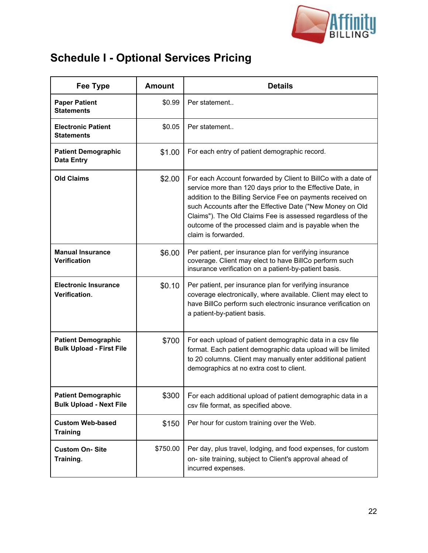

# **Schedule I Optional Services Pricing**

| <b>Fee Type</b>                                               | <b>Amount</b> | <b>Details</b>                                                                                                                                                                                                                                                                                                                                                                                         |
|---------------------------------------------------------------|---------------|--------------------------------------------------------------------------------------------------------------------------------------------------------------------------------------------------------------------------------------------------------------------------------------------------------------------------------------------------------------------------------------------------------|
| <b>Paper Patient</b><br><b>Statements</b>                     | \$0.99        | Per statement                                                                                                                                                                                                                                                                                                                                                                                          |
| <b>Electronic Patient</b><br><b>Statements</b>                | \$0.05        | Per statement                                                                                                                                                                                                                                                                                                                                                                                          |
| <b>Patient Demographic</b><br><b>Data Entry</b>               | \$1.00        | For each entry of patient demographic record.                                                                                                                                                                                                                                                                                                                                                          |
| <b>Old Claims</b>                                             | \$2.00        | For each Account forwarded by Client to BillCo with a date of<br>service more than 120 days prior to the Effective Date, in<br>addition to the Billing Service Fee on payments received on<br>such Accounts after the Effective Date ("New Money on Old<br>Claims"). The Old Claims Fee is assessed regardless of the<br>outcome of the processed claim and is payable when the<br>claim is forwarded. |
| <b>Manual Insurance</b><br><b>Verification</b>                | \$6.00        | Per patient, per insurance plan for verifying insurance<br>coverage. Client may elect to have BillCo perform such<br>insurance verification on a patient-by-patient basis.                                                                                                                                                                                                                             |
| <b>Electronic Insurance</b><br>Verification.                  | \$0.10        | Per patient, per insurance plan for verifying insurance<br>coverage electronically, where available. Client may elect to<br>have BillCo perform such electronic insurance verification on<br>a patient-by-patient basis.                                                                                                                                                                               |
| <b>Patient Demographic</b><br><b>Bulk Upload - First File</b> | \$700         | For each upload of patient demographic data in a csv file<br>format. Each patient demographic data upload will be limited<br>to 20 columns. Client may manually enter additional patient<br>demographics at no extra cost to client.                                                                                                                                                                   |
| <b>Patient Demographic</b><br><b>Bulk Upload - Next File</b>  | \$300         | For each additional upload of patient demographic data in a<br>csv file format, as specified above.                                                                                                                                                                                                                                                                                                    |
| <b>Custom Web-based</b><br><b>Training</b>                    | \$150         | Per hour for custom training over the Web.                                                                                                                                                                                                                                                                                                                                                             |
| <b>Custom On-Site</b><br>Training.                            | \$750.00      | Per day, plus travel, lodging, and food expenses, for custom<br>on- site training, subject to Client's approval ahead of<br>incurred expenses.                                                                                                                                                                                                                                                         |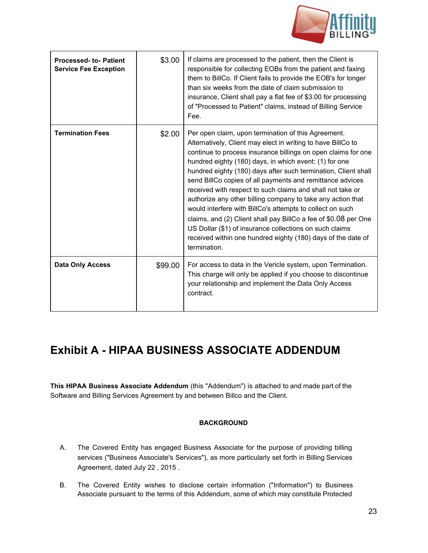

| <b>Processed- to-Patient</b><br><b>Service Fee Exception</b> | \$3.00  | If claims are processed to the patient, then the Client is<br>responsible for collecting EOBs from the patient and faxing<br>them to BillCo. If Client fails to provide the EOB's for longer<br>than six weeks from the date of claim submission to<br>insurance, Client shall pay a flat fee of \$3.00 for processing<br>of "Processed to Patient" claims, instead of Billing Service<br>Fee.                                                                                                                                                                                                                                                                                                                                                                                        |
|--------------------------------------------------------------|---------|---------------------------------------------------------------------------------------------------------------------------------------------------------------------------------------------------------------------------------------------------------------------------------------------------------------------------------------------------------------------------------------------------------------------------------------------------------------------------------------------------------------------------------------------------------------------------------------------------------------------------------------------------------------------------------------------------------------------------------------------------------------------------------------|
| <b>Termination Fees</b>                                      | \$2.00  | Per open claim, upon termination of this Agreement.<br>Alternatively, Client may elect in writing to have BillCo to<br>continue to process insurance billings on open claims for one<br>hundred eighty (180) days, in which event: (1) for one<br>hundred eighty (180) days after such termination, Client shall<br>send BillCo copies of all payments and remittance advices<br>received with respect to such claims and shall not take or<br>authorize any other billing company to take any action that<br>would interfere with BillCo's attempts to collect on such<br>claims, and (2) Client shall pay BillCo a fee of \$0.08 per One<br>US Dollar (\$1) of insurance collections on such claims<br>received within one hundred eighty (180) days of the date of<br>termination. |
| <b>Data Only Access</b>                                      | \$99.00 | For access to data in the Vericle system, upon Termination.<br>This charge will only be applied if you choose to discontinue<br>your relationship and implement the Data Only Access<br>contract.                                                                                                                                                                                                                                                                                                                                                                                                                                                                                                                                                                                     |

# **Exhibit A HIPAA BUSINESS ASSOCIATE ADDENDUM**

**This HIPAA Business Associate Addendum** (this "Addendum") is attached to and made part of the Software and Billing Services Agreement by and between Billco and the Client.

#### **BACKGROUND**

- A. The Covered Entity has engaged Business Associate for the purpose of providing billing services ("Business Associate's Services"), as more particularly set forth in Billing Services Agreement, dated July 22 , 2015 .
- B. The Covered Entity wishes to disclose certain information ("Information") to Business Associate pursuant to the terms of this Addendum, some of which may constitute Protected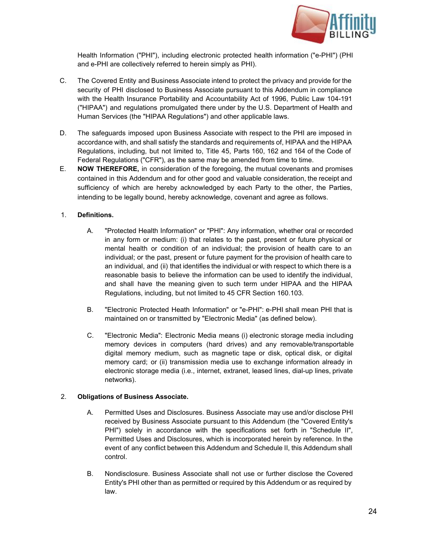

Health Information ("PHI"), including electronic protected health information ("e-PHI") (PHI and e-PHI are collectively referred to herein simply as PHI).

- C. The Covered Entity and Business Associate intend to protect the privacy and provide for the security of PHI disclosed to Business Associate pursuant to this Addendum in compliance with the Health Insurance Portability and Accountability Act of 1996, Public Law 104-191 ("HIPAA") and regulations promulgated there under by the U.S. Department of Health and Human Services (the "HIPAA Regulations") and other applicable laws.
- D. The safeguards imposed upon Business Associate with respect to the PHI are imposed in accordance with, and shall satisfy the standards and requirements of, HIPAA and the HIPAA Regulations, including, but not limited to, Title 45, Parts 160, 162 and 164 of the Code of Federal Regulations ("CFR"), as the same may be amended from time to time.
- E. **NOW THEREFORE,** in consideration of the foregoing, the mutual covenants and promises contained in this Addendum and for other good and valuable consideration, the receipt and sufficiency of which are hereby acknowledged by each Party to the other, the Parties, intending to be legally bound, hereby acknowledge, covenant and agree as follows.

#### 1. **Definitions.**

- A. "Protected Health Information" or "PHI": Any information, whether oral or recorded in any form or medium: (i) that relates to the past, present or future physical or mental health or condition of an individual; the provision of health care to an individual; or the past, present or future payment for the provision of health care to an individual, and (ii) that identifies the individual or with respect to which there is a reasonable basis to believe the information can be used to identify the individual, and shall have the meaning given to such term under HIPAA and the HIPAA Regulations, including, but not limited to 45 CFR Section 160.103.
- B. "Electronic Protected Heath Information" or "e-PHI": e-PHI shall mean PHI that is maintained on or transmitted by "Electronic Media" (as defined below).
- C. "Electronic Media": Electronic Media means (i) electronic storage media including memory devices in computers (hard drives) and any removable/transportable digital memory medium, such as magnetic tape or disk, optical disk, or digital memory card; or (ii) transmission media use to exchange information already in electronic storage media (i.e., internet, extranet, leased lines, dial-up lines, private networks).

#### 2. **Obligations of Business Associate.**

- A. Permitted Uses and Disclosures. Business Associate may use and/or disclose PHI received by Business Associate pursuant to this Addendum (the "Covered Entity's PHI") solely in accordance with the specifications set forth in "Schedule II", Permitted Uses and Disclosures, which is incorporated herein by reference. In the event of any conflict between this Addendum and Schedule II, this Addendum shall control.
- B. Nondisclosure. Business Associate shall not use or further disclose the Covered Entity's PHI other than as permitted or required by this Addendum or as required by law.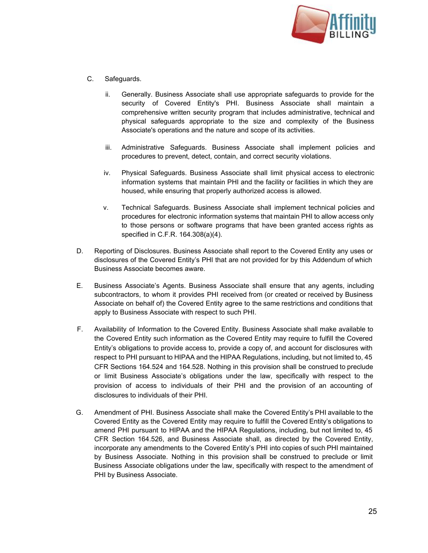

- C. Safeguards.
	- ii. Generally. Business Associate shall use appropriate safeguards to provide for the security of Covered Entity's PHI. Business Associate shall maintain a comprehensive written security program that includes administrative, technical and physical safeguards appropriate to the size and complexity of the Business Associate's operations and the nature and scope of its activities.
	- iii. Administrative Safeguards. Business Associate shall implement policies and procedures to prevent, detect, contain, and correct security violations.
	- iv. Physical Safeguards. Business Associate shall limit physical access to electronic information systems that maintain PHI and the facility or facilities in which they are housed, while ensuring that properly authorized access is allowed.
	- v. Technical Safeguards. Business Associate shall implement technical policies and procedures for electronic information systems that maintain PHI to allow access only to those persons or software programs that have been granted access rights as specified in C.F.R. 164.308(a)(4).
- D. Reporting of Disclosures. Business Associate shall report to the Covered Entity any uses or disclosures of the Covered Entity's PHI that are not provided for by this Addendum of which Business Associate becomes aware.
- E. Business Associate's Agents. Business Associate shall ensure that any agents, including subcontractors, to whom it provides PHI received from (or created or received by Business Associate on behalf of) the Covered Entity agree to the same restrictions and conditions that apply to Business Associate with respect to such PHI.
- F. Availability of Information to the Covered Entity. Business Associate shall make available to the Covered Entity such information as the Covered Entity may require to fulfill the Covered Entity's obligations to provide access to, provide a copy of, and account for disclosures with respect to PHI pursuant to HIPAA and the HIPAA Regulations, including, but not limited to, 45 CFR Sections 164.524 and 164.528. Nothing in this provision shall be construed to preclude or limit Business Associate's obligations under the law, specifically with respect to the provision of access to individuals of their PHI and the provision of an accounting of disclosures to individuals of their PHI.
- G. Amendment of PHI. Business Associate shall make the Covered Entity's PHI available to the Covered Entity as the Covered Entity may require to fulfill the Covered Entity's obligations to amend PHI pursuant to HIPAA and the HIPAA Regulations, including, but not limited to, 45 CFR Section 164.526, and Business Associate shall, as directed by the Covered Entity, incorporate any amendments to the Covered Entity's PHI into copies of such PHI maintained by Business Associate. Nothing in this provision shall be construed to preclude or limit Business Associate obligations under the law, specifically with respect to the amendment of PHI by Business Associate.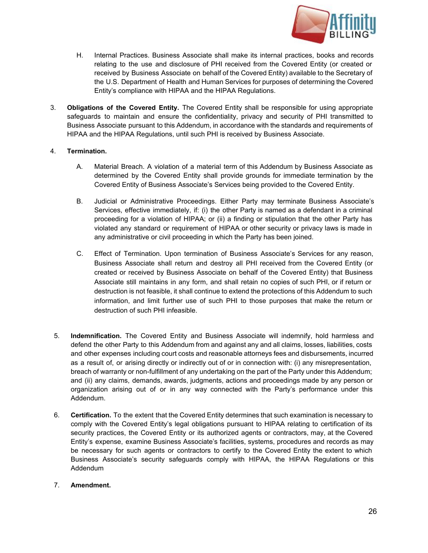

- H. Internal Practices. Business Associate shall make its internal practices, books and records relating to the use and disclosure of PHI received from the Covered Entity (or created or received by Business Associate on behalf of the Covered Entity) available to the Secretary of the U.S. Department of Health and Human Services for purposes of determining the Covered Entity's compliance with HIPAA and the HIPAA Regulations.
- 3. **Obligations of the Covered Entity.** The Covered Entity shall be responsible for using appropriate safeguards to maintain and ensure the confidentiality, privacy and security of PHI transmitted to Business Associate pursuant to this Addendum, in accordance with the standards and requirements of HIPAA and the HIPAA Regulations, until such PHI is received by Business Associate.

#### 4. **Termination.**

- A. Material Breach. A violation of a material term of this Addendum by Business Associate as determined by the Covered Entity shall provide grounds for immediate termination by the Covered Entity of Business Associate's Services being provided to the Covered Entity.
- B. Judicial or Administrative Proceedings. Either Party may terminate Business Associate's Services, effective immediately, if: (i) the other Party is named as a defendant in a criminal proceeding for a violation of HIPAA; or (ii) a finding or stipulation that the other Party has violated any standard or requirement of HIPAA or other security or privacy laws is made in any administrative or civil proceeding in which the Party has been joined.
- C. Effect of Termination. Upon termination of Business Associate's Services for any reason, Business Associate shall return and destroy all PHI received from the Covered Entity (or created or received by Business Associate on behalf of the Covered Entity) that Business Associate still maintains in any form, and shall retain no copies of such PHI, or if return or destruction is not feasible, it shall continue to extend the protections of this Addendum to such information, and limit further use of such PHI to those purposes that make the return or destruction of such PHI infeasible.
- 5. **Indemnification.** The Covered Entity and Business Associate will indemnify, hold harmless and defend the other Party to this Addendum from and against any and all claims, losses, liabilities, costs and other expenses including court costs and reasonable attorneys fees and disbursements, incurred as a result of, or arising directly or indirectly out of or in connection with: (i) any misrepresentation, breach of warranty or non-fulfillment of any undertaking on the part of the Party under this Addendum; and (ii) any claims, demands, awards, judgments, actions and proceedings made by any person or organization arising out of or in any way connected with the Party's performance under this Addendum.
- 6. **Certification.** To the extent that the Covered Entity determines that such examination is necessary to comply with the Covered Entity's legal obligations pursuant to HIPAA relating to certification of its security practices, the Covered Entity or its authorized agents or contractors, may, at the Covered Entity's expense, examine Business Associate's facilities, systems, procedures and records as may be necessary for such agents or contractors to certify to the Covered Entity the extent to which Business Associate's security safeguards comply with HIPAA, the HIPAA Regulations or this Addendum

#### 7. **Amendment.**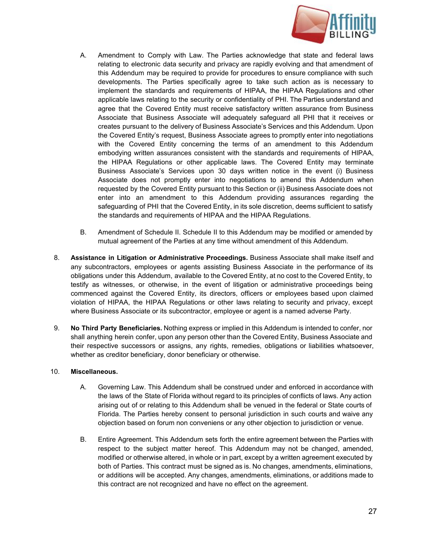

- A. Amendment to Comply with Law. The Parties acknowledge that state and federal laws relating to electronic data security and privacy are rapidly evolving and that amendment of this Addendum may be required to provide for procedures to ensure compliance with such developments. The Parties specifically agree to take such action as is necessary to implement the standards and requirements of HIPAA, the HIPAA Regulations and other applicable laws relating to the security or confidentiality of PHI. The Parties understand and agree that the Covered Entity must receive satisfactory written assurance from Business Associate that Business Associate will adequately safeguard all PHI that it receives or creates pursuant to the delivery of Business Associate's Services and this Addendum. Upon the Covered Entity's request, Business Associate agrees to promptly enter into negotiations with the Covered Entity concerning the terms of an amendment to this Addendum embodying written assurances consistent with the standards and requirements of HIPAA, the HIPAA Regulations or other applicable laws. The Covered Entity may terminate Business Associate's Services upon 30 days written notice in the event (i) Business Associate does not promptly enter into negotiations to amend this Addendum when requested by the Covered Entity pursuant to this Section or (ii) Business Associate does not enter into an amendment to this Addendum providing assurances regarding the safeguarding of PHI that the Covered Entity, in its sole discretion, deems sufficient to satisfy the standards and requirements of HIPAA and the HIPAA Regulations.
- B. Amendment of Schedule II. Schedule II to this Addendum may be modified or amended by mutual agreement of the Parties at any time without amendment of this Addendum.
- 8. **Assistance in Litigation or Administrative Proceedings.** Business Associate shall make itself and any subcontractors, employees or agents assisting Business Associate in the performance of its obligations under this Addendum, available to the Covered Entity, at no cost to the Covered Entity, to testify as witnesses, or otherwise, in the event of litigation or administrative proceedings being commenced against the Covered Entity, its directors, officers or employees based upon claimed violation of HIPAA, the HIPAA Regulations or other laws relating to security and privacy, except where Business Associate or its subcontractor, employee or agent is a named adverse Party.
- 9. **No Third Party Beneficiaries.** Nothing express or implied in this Addendum is intended to confer, nor shall anything herein confer, upon any person other than the Covered Entity, Business Associate and their respective successors or assigns, any rights, remedies, obligations or liabilities whatsoever, whether as creditor beneficiary, donor beneficiary or otherwise.

#### 10. **Miscellaneous.**

- A. Governing Law. This Addendum shall be construed under and enforced in accordance with the laws of the State of Florida without regard to its principles of conflicts of laws. Any action arising out of or relating to this Addendum shall be venued in the federal or State courts of Florida. The Parties hereby consent to personal jurisdiction in such courts and waive any objection based on forum non conveniens or any other objection to jurisdiction or venue.
- B. Entire Agreement. This Addendum sets forth the entire agreement between the Parties with respect to the subject matter hereof. This Addendum may not be changed, amended, modified or otherwise altered, in whole or in part, except by a written agreement executed by both of Parties. This contract must be signed as is. No changes, amendments, eliminations, or additions will be accepted. Any changes, amendments, eliminations, or additions made to this contract are not recognized and have no effect on the agreement.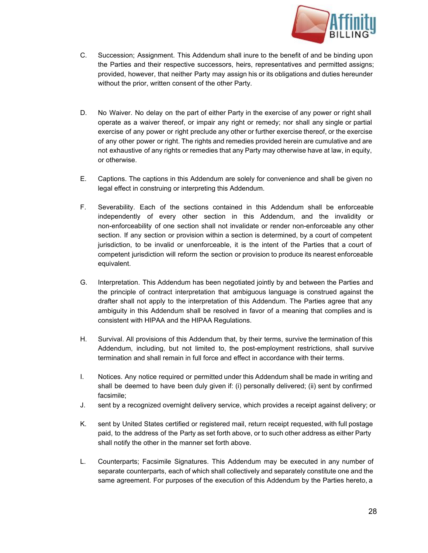

- C. Succession; Assignment. This Addendum shall inure to the benefit of and be binding upon the Parties and their respective successors, heirs, representatives and permitted assigns; provided, however, that neither Party may assign his or its obligations and duties hereunder without the prior, written consent of the other Party.
- D. No Waiver. No delay on the part of either Party in the exercise of any power or right shall operate as a waiver thereof, or impair any right or remedy; nor shall any single or partial exercise of any power or right preclude any other or further exercise thereof, or the exercise of any other power or right. The rights and remedies provided herein are cumulative and are not exhaustive of any rights or remedies that any Party may otherwise have at law, in equity, or otherwise.
- E. Captions. The captions in this Addendum are solely for convenience and shall be given no legal effect in construing or interpreting this Addendum.
- F. Severability. Each of the sections contained in this Addendum shall be enforceable independently of every other section in this Addendum, and the invalidity or non-enforceability of one section shall not invalidate or render non-enforceable any other section. If any section or provision within a section is determined, by a court of competent jurisdiction, to be invalid or unenforceable, it is the intent of the Parties that a court of competent jurisdiction will reform the section or provision to produce its nearest enforceable equivalent.
- G. Interpretation. This Addendum has been negotiated jointly by and between the Parties and the principle of contract interpretation that ambiguous language is construed against the drafter shall not apply to the interpretation of this Addendum. The Parties agree that any ambiguity in this Addendum shall be resolved in favor of a meaning that complies and is consistent with HIPAA and the HIPAA Regulations.
- H. Survival. All provisions of this Addendum that, by their terms, survive the termination of this Addendum, including, but not limited to, the post-employment restrictions, shall survive termination and shall remain in full force and effect in accordance with their terms.
- I. Notices. Any notice required or permitted under this Addendum shall be made in writing and shall be deemed to have been duly given if: (i) personally delivered; (ii) sent by confirmed facsimile;
- J. sent by a recognized overnight delivery service, which provides a receipt against delivery; or
- K. sent by United States certified or registered mail, return receipt requested, with full postage paid, to the address of the Party as set forth above, or to such other address as either Party shall notify the other in the manner set forth above.
- L. Counterparts; Facsimile Signatures. This Addendum may be executed in any number of separate counterparts, each of which shall collectively and separately constitute one and the same agreement. For purposes of the execution of this Addendum by the Parties hereto, a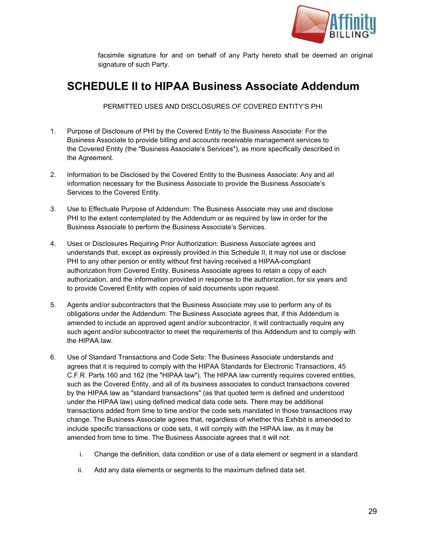

facsimile signature for and on behalf of any Party hereto shall be deemed an original signature of such Party.

# **SCHEDULE II to HIPAA Business Associate Addendum**

PERMITTED USES AND DISCLOSURES OF COVERED ENTITY'S PHI

- 1. Purpose of Disclosure of PHI by the Covered Entity to the Business Associate: For the Business Associate to provide billing and accounts receivable management services to the Covered Entity (the "Business Associate's Services"), as more specifically described in the Agreement.
- 2. Information to be Disclosed by the Covered Entity to the Business Associate: Any and all information necessary for the Business Associate to provide the Business Associate's Services to the Covered Entity.
- 3. Use to Effectuate Purpose of Addendum: The Business Associate may use and disclose PHI to the extent contemplated by the Addendum or as required by law in order for the Business Associate to perform the Business Associate's Services.
- 4. Uses or Disclosures Requiring Prior Authorization: Business Associate agrees and understands that, except as expressly provided in this Schedule II, it may not use or disclose PHI to any other person or entity without first having received a HIPAA-compliant authorization from Covered Entity. Business Associate agrees to retain a copy of each authorization, and the information provided in response to the authorization, for six years and to provide Covered Entity with copies of said documents upon request.
- 5. Agents and/or subcontractors that the Business Associate may use to perform any of its obligations under the Addendum: The Business Associate agrees that, if this Addendum is amended to include an approved agent and/or subcontractor, it will contractually require any such agent and/or subcontractor to meet the requirements of this Addendum and to comply with the HIPAA law.
- 6. Use of Standard Transactions and Code Sets: The Business Associate understands and agrees that it is required to comply with the HIPAA Standards for Electronic Transactions, 45 C.F.R. Parts 160 and 162 (the "HIPAA law"). The HIPAA law currently requires covered entities, such as the Covered Entity, and all of its business associates to conduct transactions covered by the HIPAA law as "standard transactions" (as that quoted term is defined and understood under the HIPAA law) using defined medical data code sets. There may be additional transactions added from time to time and/or the code sets mandated in those transactions may change. The Business Associate agrees that, regardless of whether this Exhibit is amended to include specific transactions or code sets, it will comply with the HIPAA law, as it may be amended from time to time. The Business Associate agrees that it will not:
	- i. Change the definition, data condition or use of a data element or segment in a standard.
	- ii. Add any data elements or segments to the maximum defined data set.